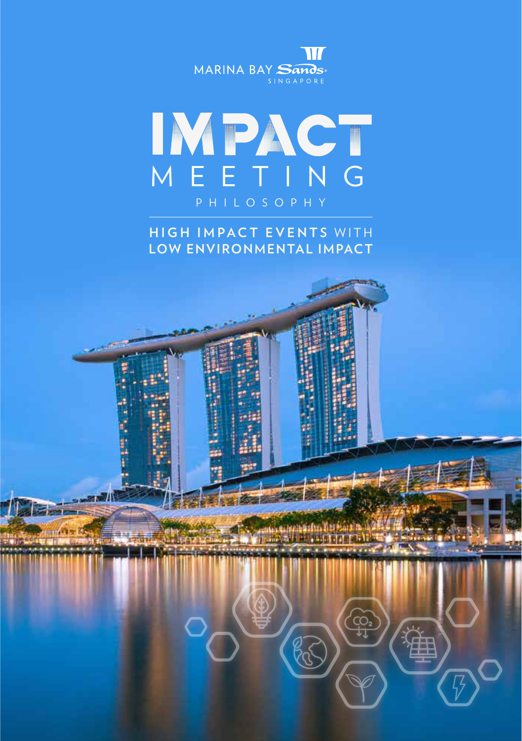



**HIGH IMPACT EVENTS WITH LOW ENVIRONMENTAL IMPACT**

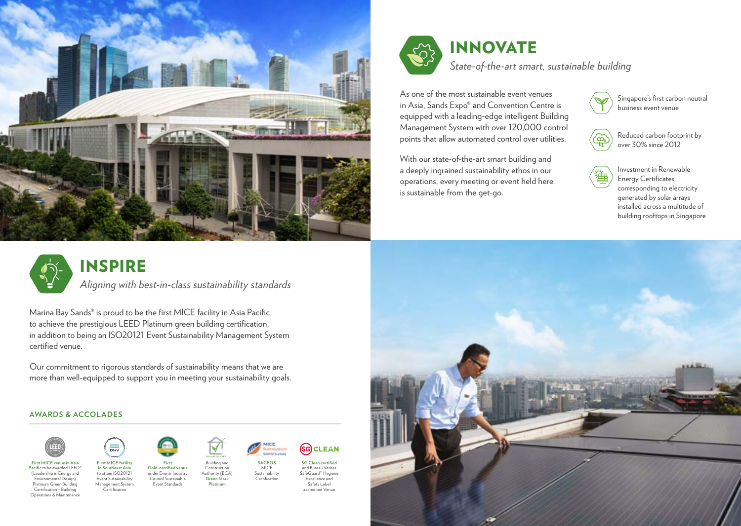



# INNOVATE

*State-of-the-art smart, sustainable building*

As one of the most sustainable event venues in Asia, Sands Expo® and Convention Centre is equipped with a leading-edge intelligent Building Management System with over 120,000 control points that allow automated control over utilities.

With our state-of-the-art smart building and a deeply ingrained sustainability ethos in our operations, every meeting or event held here is sustainable from the get-go.

Singapore's first carbon neutral business event venue

Reduced carbon footprint by over 30% since 2012

Investment in Renewable Energy Certificates, corresponding to electricity generated by solar arrays installed across a multitude of building rooftops in Singapore



# INSPIRE

*Aligning with best-in-class sustainability standards* 

Marina Bay Sands® is proud to be the first MICE facility in Asia Pacific to achieve the prestigious LEED Platinum green building certification, in addition to being an ISO20121 Event Sustainability Management System certified venue.

Our commitment to rigorous standards of sustainability means that we are more than well-equipped to support you in meeting your sustainability goals.

#### **AWARDS & ACCOLADES**



**Pacific** to be awarded LEED® (Leadership in Energy and Environmental Design) Platinum Green Building Certification – Building Operations & Maintenance



**First MICE facility in Southeast Asia** to attain ISO20121 Event Sustainability Management System Certification





Council Sustainable Event Standards

Building and Construction Authority (BCA) **Green Mark Platinum**



Sustainability **Certification** 

**SG CLEAN SG Clean certified**

and Bureau Veritas SafeGuard™ Hygiene Excellence and Safety Label accredited Venue

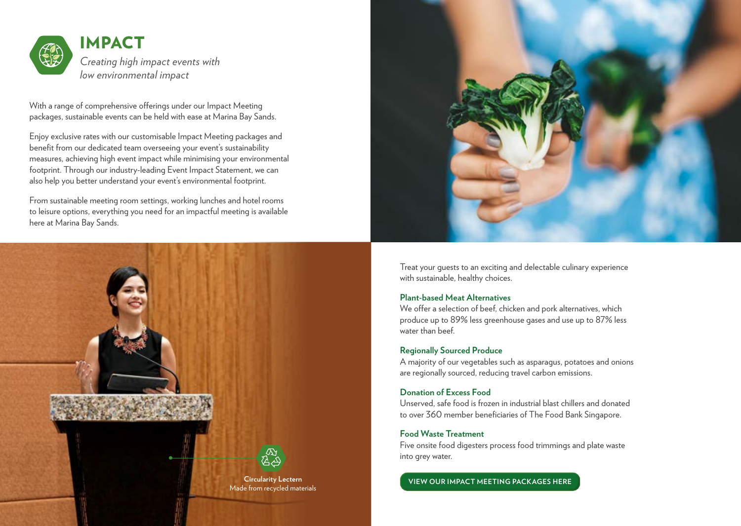

With a range of comprehensive offerings under our Impact Meeting packages, sustainable events can be held with ease at Marina Bay Sands.

Enjoy exclusive rates with our customisable Impact Meeting packages and benefit from our dedicated team overseeing your event's sustainability measures, achieving high event impact while minimising your environmental footprint. Through our industry-leading Event Impact Statement, we can also help you better understand your event's environmental footprint.

From sustainable meeting room settings, working lunches and hotel rooms to leisure options, everything you need for an impactful meeting is available here at Marina Bay Sands.





Treat your guests to an exciting and delectable culinary experience with sustainable, healthy choices.

#### **Plant-based Meat Alternatives**

We offer a selection of beef, chicken and pork alternatives, which produce up to 89% less greenhouse gases and use up to 87% less water than beef.

#### **Regionally Sourced Produce**

A majority of our vegetables such as asparagus, potatoes and onions are regionally sourced, reducing travel carbon emissions.

## **Donation of Excess Food**

Unserved, safe food is frozen in industrial blast chillers and donated to over 360 member beneficiaries of The Food Bank Singapore.

### **Food Waste Treatment**

Five onsite food digesters process food trimmings and plate waste into grey water.

**Circularity Lectern [VIEW OUR IMPACT MEETING PACKAGES HERE](https://www.marinabaysands.com/expo-events-and-convention-centre/packages/easy-meeting-green-package.html)**